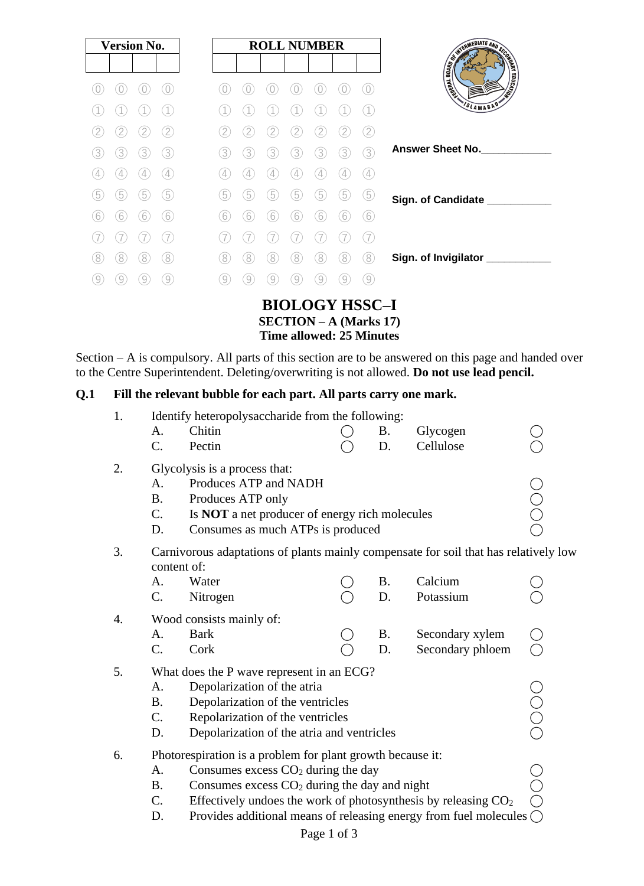| <b>Version No.</b>           |                             | <b>ROLL NUMBER</b>                        |                           |
|------------------------------|-----------------------------|-------------------------------------------|---------------------------|
|                              |                             |                                           |                           |
|                              |                             |                                           | AS INTERNATIONAL PROPERTY |
|                              |                             |                                           | SLAMABAD'                 |
|                              | 2<br>2                      | $\frac{2}{2}$                             |                           |
| 3<br>3<br>3<br>3             | 3<br>3<br>3                 | 3<br>$\binom{3}{ }$<br>3<br>3             | <b>Answer Sheet No.</b>   |
| 4<br>$\frac{1}{2}$<br>4<br>4 | $\left( 4\right)$<br>4<br>4 | 4<br>$\overline{4}$<br>$\frac{1}{2}$<br>4 |                           |
| 5<br>5<br>5<br>5             | 5<br>$\overline{5}$<br>5    | 5<br>5<br>5<br>[5]                        | Sign. of Candidate        |
| 6<br>6<br>6<br>6             | 6<br>6<br>6                 | 6<br>6<br>(6)<br>6                        |                           |
|                              |                             |                                           |                           |
| 8<br>8<br>8<br>8             | 8<br>8<br>8                 | 8<br>8<br>8<br>8                          | Sign. of Invigilator      |
| 9<br>9<br>9                  | 9<br>9<br>9                 | 9<br>$\left( 9\right)$<br>9<br>9          |                           |
|                              |                             | <b>BIOLOGY HSSC-I</b>                     |                           |

**SECTION – A (Marks 17) Time allowed: 25 Minutes**

Section – A is compulsory. All parts of this section are to be answered on this page and handed over to the Centre Superintendent. Deleting/overwriting is not allowed. **Do not use lead pencil.**

#### **Q.1 Fill the relevant bubble for each part. All parts carry one mark.**

| 1. |                                                                            | Identify heteropolysaccharide from the following:                                    |  |           |                  |                       |  |  |  |  |
|----|----------------------------------------------------------------------------|--------------------------------------------------------------------------------------|--|-----------|------------------|-----------------------|--|--|--|--|
|    | A.                                                                         | Chitin                                                                               |  | <b>B.</b> | Glycogen         |                       |  |  |  |  |
|    | C.                                                                         | Pectin                                                                               |  | D.        | Cellulose        |                       |  |  |  |  |
| 2. |                                                                            | Glycolysis is a process that:                                                        |  |           |                  |                       |  |  |  |  |
|    | A.                                                                         | Produces ATP and NADH                                                                |  |           |                  |                       |  |  |  |  |
|    | <b>B.</b>                                                                  | Produces ATP only                                                                    |  |           |                  |                       |  |  |  |  |
|    | C.                                                                         | Is <b>NOT</b> a net producer of energy rich molecules                                |  |           |                  | OOO                   |  |  |  |  |
|    | D.                                                                         | Consumes as much ATPs is produced                                                    |  |           |                  |                       |  |  |  |  |
| 3. |                                                                            | Carnivorous adaptations of plants mainly compensate for soil that has relatively low |  |           |                  |                       |  |  |  |  |
|    | content of:                                                                |                                                                                      |  |           |                  |                       |  |  |  |  |
|    | A.                                                                         | Water                                                                                |  | <b>B.</b> | Calcium          |                       |  |  |  |  |
|    | $\mathcal{C}$ .                                                            | Nitrogen                                                                             |  | D.        | Potassium        |                       |  |  |  |  |
| 4. |                                                                            | Wood consists mainly of:                                                             |  |           |                  |                       |  |  |  |  |
|    | Α.                                                                         | <b>Bark</b>                                                                          |  | B.        | Secondary xylem  |                       |  |  |  |  |
|    | $\mathcal{C}$ .                                                            | Cork                                                                                 |  | D.        | Secondary phloem |                       |  |  |  |  |
| 5. |                                                                            | What does the P wave represent in an ECG?                                            |  |           |                  |                       |  |  |  |  |
|    | A.                                                                         | Depolarization of the atria                                                          |  |           |                  |                       |  |  |  |  |
|    | <b>B.</b>                                                                  | Depolarization of the ventricles                                                     |  |           |                  | 0<br>0<br>0<br>0<br>0 |  |  |  |  |
|    | C.                                                                         | Repolarization of the ventricles                                                     |  |           |                  |                       |  |  |  |  |
|    | D.                                                                         | Depolarization of the atria and ventricles                                           |  |           |                  |                       |  |  |  |  |
| 6. |                                                                            | Photorespiration is a problem for plant growth because it:                           |  |           |                  |                       |  |  |  |  |
|    | A.                                                                         | Consumes excess $CO2$ during the day                                                 |  |           |                  |                       |  |  |  |  |
|    | 0<br>0<br>0<br>Consumes excess $CO2$ during the day and night<br><b>B.</b> |                                                                                      |  |           |                  |                       |  |  |  |  |
|    | C.                                                                         | Effectively undoes the work of photosynthesis by releasing CO <sub>2</sub>           |  |           |                  |                       |  |  |  |  |
|    | D.                                                                         | Provides additional means of releasing energy from fuel molecules (                  |  |           |                  |                       |  |  |  |  |
|    |                                                                            |                                                                                      |  |           |                  |                       |  |  |  |  |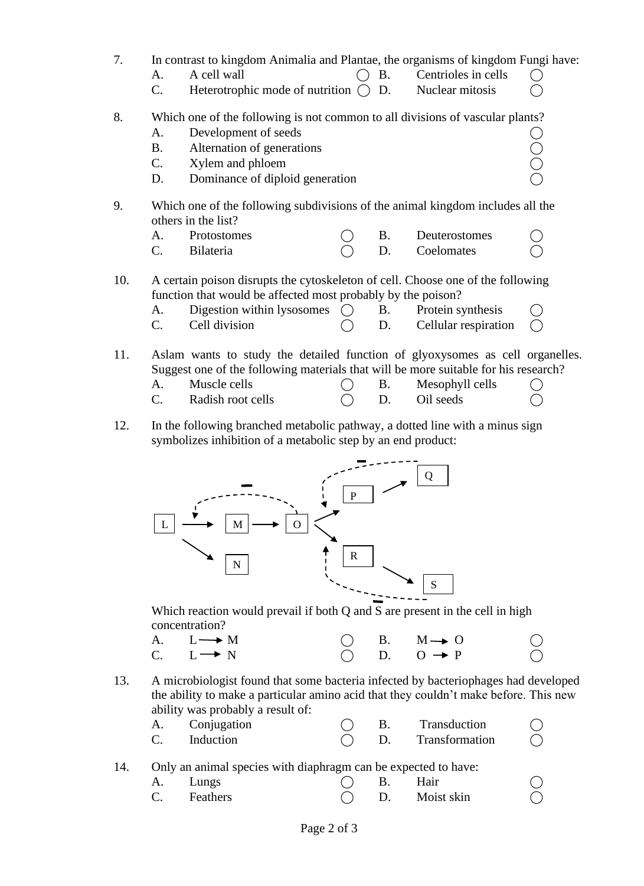- 7. In contrast to kingdom Animalia and Plantae, the organisms of kingdom Fungi have: A. A cell wall  $\bigcap$  B. Centrioles in cells  $\bigcap$ C. Heterotrophic mode of nutrition  $\bigcap D$ . Nuclear mitosis  $\bigcap$ 8. Which one of the following is not common to all divisions of vascular plants? A. Development of seeds B. Alternation of generations C. Xylem and phloem D. Dominance of diploid generation 9. Which one of the following subdivisions of the animal kingdom includes all the others in the list? A. Protostomes B. Deuterostomes C. Bilateria  $\bigcirc$  D. Coelomates 10. A certain poison disrupts the cytoskeleton of cell. Choose one of the following
	- function that would be affected most probably by the poison? A. Digestion within lysosomes  $\bigcap$  B. Protein synthesis
		- $C.$  Cell division  $C.$  D. Cellular respiration
	- 11. Aslam wants to study the detailed function of glyoxysomes as cell organelles. Suggest one of the following materials that will be more suitable for his research?
		- A. Muscle cells  $\bigcirc$  B. Mesophyll cells  $\bigcirc$
		- $C.$  Radish root cells  $C.$  D. Oil seeds
	- 12. In the following branched metabolic pathway, a dotted line with a minus sign symbolizes inhibition of a metabolic step by an end product:



Which reaction would prevail if both Q and S are present in the cell in high concentration?

| A. $L \longrightarrow M$    |  | $\bigcirc$ B. M $\rightarrow$ O | $\bigcirc$ |
|-----------------------------|--|---------------------------------|------------|
| $C. \qquad L \rightarrow N$ |  | $\bigcirc$ D. O $\rightarrow$ P | $\bigcirc$ |

13. A microbiologist found that some bacteria infected by bacteriophages had developed the ability to make a particular amino acid that they couldn't make before. This new ability was probably a result of:

| Conjugation |  | Transduction   |  |
|-------------|--|----------------|--|
| Induction   |  | Transformation |  |

14. Only an animal species with diaphragm can be expected to have:

| A. Lungs    | $\bigcap$ B. Hair |                         |  |
|-------------|-------------------|-------------------------|--|
| C. Feathers |                   | $\bigcap$ D. Moist skin |  |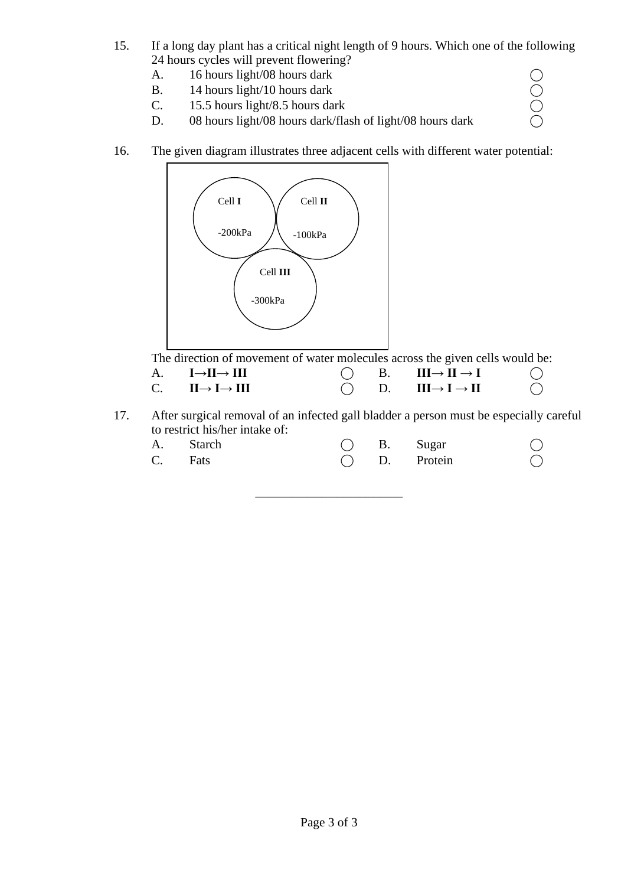- 15. If a long day plant has a critical night length of 9 hours. Which one of the following 24 hours cycles will prevent flowering?
	-
	- B. 14 hours light/10 hours dark<br>C. 15.5 hours light/8.5 hours da
	- A. 16 hours light/08 hours dark <br>
	B. 14 hours light/10 hours dark <br>
	C. 15.5 hours light/8.5 hours dark 15.5 hours light/8.5 hours dark
	- D. 08 hours light/08 hours dark/flash of light/08 hours dark
- 16. The given diagram illustrates three adjacent cells with different water potential:



The direction of movement of water molecules across the given cells would be:

| A. $I \rightarrow II \rightarrow III$        |  | $\bigcap$ B. III $\rightarrow$ II $\rightarrow$ I |  |
|----------------------------------------------|--|---------------------------------------------------|--|
| $C. \qquad II \rightarrow I \rightarrow III$ |  | $\bigcap$ D. III $\rightarrow$ I $\rightarrow$ II |  |

17. After surgical removal of an infected gall bladder a person must be especially careful to restrict his/her intake of:

|         | A. Starch |  | $\bigcap$ B. Sugar   | $\bigcirc$ |
|---------|-----------|--|----------------------|------------|
| C. Fats |           |  | $\bigcap$ D. Protein | $\bigcirc$ |

\_\_\_\_\_\_\_\_\_\_\_\_\_\_\_\_\_\_\_\_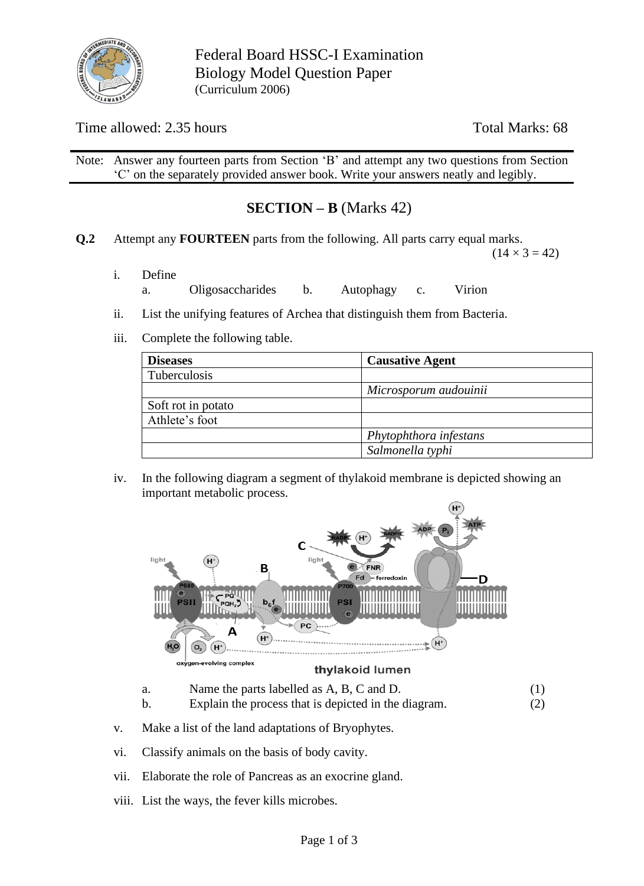

Time allowed: 2.35 hours Total Marks: 68

Note: Answer any fourteen parts from Section 'B' and attempt any two questions from Section 'C' on the separately provided answer book. Write your answers neatly and legibly.

# **SECTION – B** (Marks 42)

**Q.2** Attempt any **FOURTEEN** parts from the following. All parts carry equal marks.

 $(14 \times 3 = 42)$ 

- i. Define
	- a. Oligosaccharides b. Autophagy c. Virion
- ii. List the unifying features of Archea that distinguish them from Bacteria.
- iii. Complete the following table.

| <b>Diseases</b>    | <b>Causative Agent</b> |  |
|--------------------|------------------------|--|
| Tuberculosis       |                        |  |
|                    | Microsporum audouinii  |  |
| Soft rot in potato |                        |  |
| Athlete's foot     |                        |  |
|                    | Phytophthora infestans |  |
|                    | Salmonella typhi       |  |

iv. In the following diagram a segment of thylakoid membrane is depicted showing an important metabolic process.



thylakoid lumen

- a. Name the parts labelled as A, B, C and D. (1)
- b. Explain the process that is depicted in the diagram. (2)
- v. Make a list of the land adaptations of Bryophytes.
- vi. Classify animals on the basis of body cavity.
- vii. Elaborate the role of Pancreas as an exocrine gland.
- viii. List the ways, the fever kills microbes.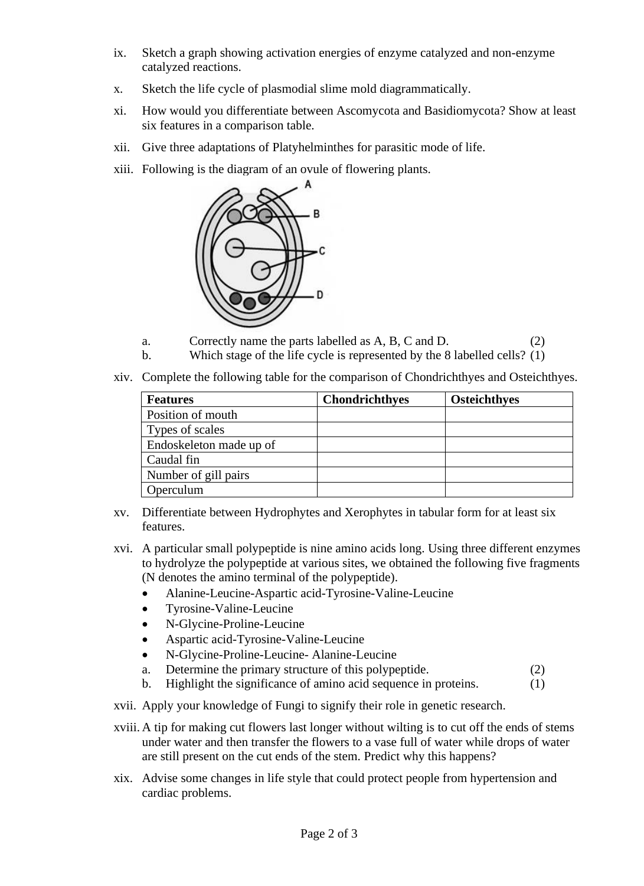- ix. Sketch a graph showing activation energies of enzyme catalyzed and non-enzyme catalyzed reactions.
- x. Sketch the life cycle of plasmodial slime mold diagrammatically.
- xi. How would you differentiate between Ascomycota and Basidiomycota? Show at least six features in a comparison table.
- xii. Give three adaptations of Platyhelminthes for parasitic mode of life.
- xiii. Following is the diagram of an ovule of flowering plants.



- a. Correctly name the parts labelled as A, B, C and D. (2)
- b. Which stage of the life cycle is represented by the 8 labelled cells? (1)
- xiv. Complete the following table for the comparison of Chondrichthyes and Osteichthyes.

| <b>Features</b>         | <b>Chondrichthyes</b> | <b>Osteichthyes</b> |
|-------------------------|-----------------------|---------------------|
| Position of mouth       |                       |                     |
| Types of scales         |                       |                     |
| Endoskeleton made up of |                       |                     |
| Caudal fin              |                       |                     |
| Number of gill pairs    |                       |                     |
| Operculum               |                       |                     |

- xv. Differentiate between Hydrophytes and Xerophytes in tabular form for at least six features.
- xvi. A particular small polypeptide is nine amino acids long. Using three different enzymes to hydrolyze the polypeptide at various sites, we obtained the following five fragments (N denotes the amino terminal of the polypeptide).
	- Alanine-Leucine-Aspartic acid-Tyrosine-Valine-Leucine
	- Tyrosine-Valine-Leucine
	- N-Glycine-Proline-Leucine
	- Aspartic acid-Tyrosine-Valine-Leucine
	- N-Glycine-Proline-Leucine- Alanine-Leucine
	- a. Determine the primary structure of this polypeptide. (2)
	- b. Highlight the significance of amino acid sequence in proteins. (1)
- xvii. Apply your knowledge of Fungi to signify their role in genetic research.
- xviii. A tip for making cut flowers last longer without wilting is to cut off the ends of stems under water and then transfer the flowers to a vase full of water while drops of water are still present on the cut ends of the stem. Predict why this happens?
- xix. Advise some changes in life style that could protect people from hypertension and cardiac problems.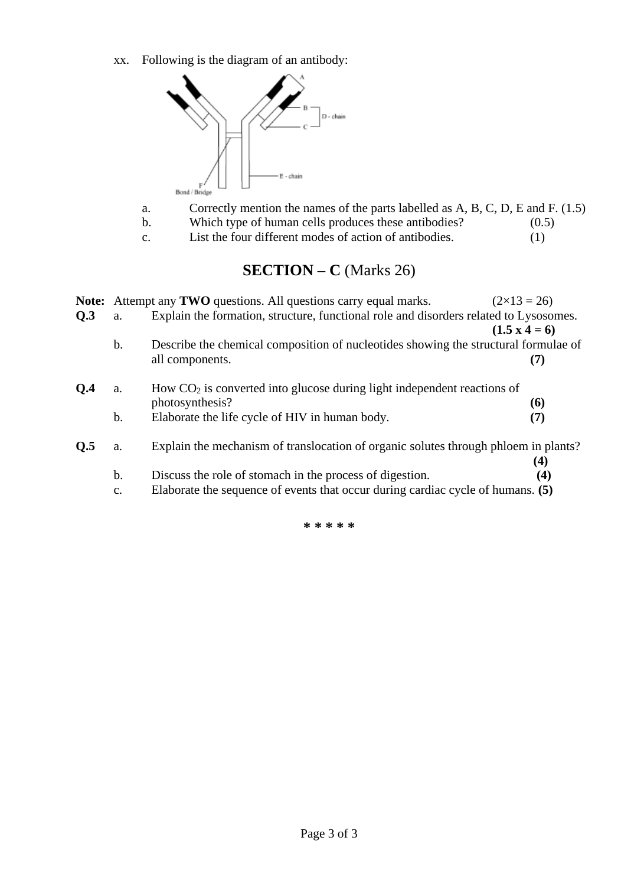xx. Following is the diagram of an antibody:



- a. Correctly mention the names of the parts labelled as A, B, C, D, E and F. (1.5)
- b. Which type of human cells produces these antibodies? (0.5)
- c. List the four different modes of action of antibodies. (1)

## **SECTION – C** (Marks 26)

|                 |                                                                                                   | <b>Note:</b> Attempt any <b>TWO</b> questions. All questions carry equal marks.     | $(2\times13=26)$     |  |  |  |  |  |
|-----------------|---------------------------------------------------------------------------------------------------|-------------------------------------------------------------------------------------|----------------------|--|--|--|--|--|
| Q <sub>.3</sub> | Explain the formation, structure, functional role and disorders related to Lysosomes.<br>a.       |                                                                                     |                      |  |  |  |  |  |
|                 |                                                                                                   |                                                                                     | $(1.5 \times 4 = 6)$ |  |  |  |  |  |
|                 | b.                                                                                                | Describe the chemical composition of nucleotides showing the structural formulae of |                      |  |  |  |  |  |
|                 |                                                                                                   | all components.                                                                     | (7)                  |  |  |  |  |  |
| Q.4             | a.                                                                                                | How $CO2$ is converted into glucose during light independent reactions of           |                      |  |  |  |  |  |
|                 |                                                                                                   | photosynthesis?                                                                     | <b>(6)</b>           |  |  |  |  |  |
|                 | b.                                                                                                | Elaborate the life cycle of HIV in human body.                                      | (7)                  |  |  |  |  |  |
| O.5             | a.                                                                                                | Explain the mechanism of translocation of organic solutes through phloem in plants? |                      |  |  |  |  |  |
|                 |                                                                                                   |                                                                                     | (4)                  |  |  |  |  |  |
|                 | b.                                                                                                | Discuss the role of stomach in the process of digestion.                            | (4)                  |  |  |  |  |  |
|                 | Elaborate the sequence of events that occur during cardiac cycle of humans. (5)<br>$\mathbf{C}$ . |                                                                                     |                      |  |  |  |  |  |
|                 |                                                                                                   |                                                                                     |                      |  |  |  |  |  |

**\* \* \* \* \***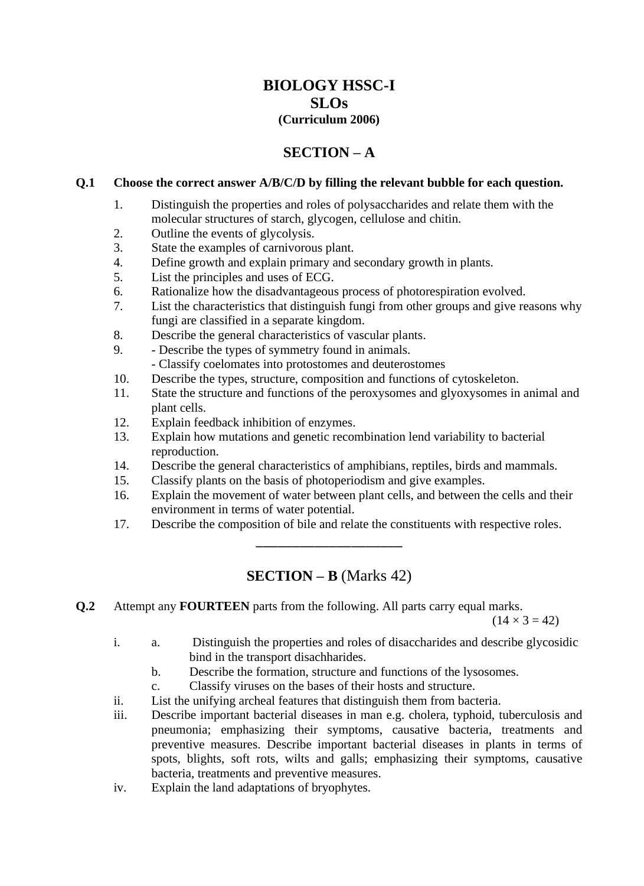### **BIOLOGY HSSC-I SLOs (Curriculum 2006)**

### **SECTION – A**

#### **Q.1 Choose the correct answer A/B/C/D by filling the relevant bubble for each question.**

- 1. Distinguish the properties and roles of polysaccharides and relate them with the molecular structures of starch, glycogen, cellulose and chitin.
- 2. Outline the events of glycolysis.
- 3. State the examples of carnivorous plant.
- 4. Define growth and explain primary and secondary growth in plants.
- 5. List the principles and uses of ECG.
- 6. Rationalize how the disadvantageous process of photorespiration evolved.
- 7. List the characteristics that distinguish fungi from other groups and give reasons why fungi are classified in a separate kingdom.
- 8. Describe the general characteristics of vascular plants.
- 9. Describe the types of symmetry found in animals.
- Classify coelomates into protostomes and deuterostomes
- 10. Describe the types, structure, composition and functions of cytoskeleton.
- 11. State the structure and functions of the peroxysomes and glyoxysomes in animal and plant cells.
- 12. Explain feedback inhibition of enzymes.
- 13. Explain how mutations and genetic recombination lend variability to bacterial reproduction.
- 14. Describe the general characteristics of amphibians, reptiles, birds and mammals.
- 15. Classify plants on the basis of photoperiodism and give examples.
- 16. Explain the movement of water between plant cells, and between the cells and their environment in terms of water potential.
- 17. Describe the composition of bile and relate the constituents with respective roles.

### **SECTION – B** (Marks 42)

\_\_\_\_\_\_\_\_\_\_\_\_\_\_\_\_\_\_\_\_

#### **Q.2** Attempt any **FOURTEEN** parts from the following. All parts carry equal marks.

 $(14 \times 3 = 42)$ 

- i. a. Distinguish the properties and roles of disaccharides and describe glycosidic bind in the transport disachharides.
	- b. Describe the formation, structure and functions of the lysosomes.
	- c. Classify viruses on the bases of their hosts and structure.
- ii. List the unifying archeal features that distinguish them from bacteria.
- iii. Describe important bacterial diseases in man e.g. cholera, typhoid, tuberculosis and pneumonia; emphasizing their symptoms, causative bacteria, treatments and preventive measures. Describe important bacterial diseases in plants in terms of spots, blights, soft rots, wilts and galls; emphasizing their symptoms, causative bacteria, treatments and preventive measures.
- iv. Explain the land adaptations of bryophytes.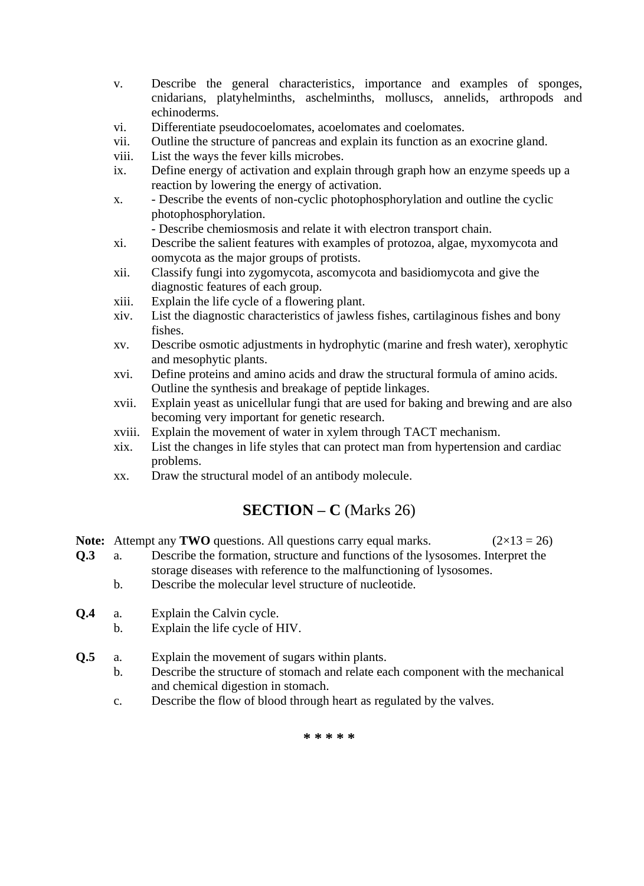- v. Describe the general characteristics, importance and examples of sponges, cnidarians, platyhelminths, aschelminths, molluscs, annelids, arthropods and echinoderms.
- vi. Differentiate pseudocoelomates, acoelomates and coelomates.
- vii. Outline the structure of pancreas and explain its function as an exocrine gland.
- viii. List the ways the fever kills microbes.
- ix. Define energy of activation and explain through graph how an enzyme speeds up a reaction by lowering the energy of activation.
- x. Describe the events of non-cyclic photophosphorylation and outline the cyclic photophosphorylation.
	- Describe chemiosmosis and relate it with electron transport chain.
- xi. Describe the salient features with examples of protozoa, algae, myxomycota and oomycota as the major groups of protists.
- xii. Classify fungi into zygomycota, ascomycota and basidiomycota and give the diagnostic features of each group.
- xiii. Explain the life cycle of a flowering plant.
- xiv. List the diagnostic characteristics of jawless fishes, cartilaginous fishes and bony fishes.
- xv. Describe osmotic adjustments in hydrophytic (marine and fresh water), xerophytic and mesophytic plants.
- xvi. Define proteins and amino acids and draw the structural formula of amino acids. Outline the synthesis and breakage of peptide linkages.
- xvii. Explain yeast as unicellular fungi that are used for baking and brewing and are also becoming very important for genetic research.
- xviii. Explain the movement of water in xylem through TACT mechanism.
- xix. List the changes in life styles that can protect man from hypertension and cardiac problems.
- xx. Draw the structural model of an antibody molecule.

### **SECTION – C** (Marks 26)

- **Note:** Attempt any **TWO** questions. All questions carry equal marks.  $(2 \times 13 = 26)$
- **Q.3** a. Describe the formation, structure and functions of the lysosomes. Interpret the storage diseases with reference to the malfunctioning of lysosomes.
	- b. Describe the molecular level structure of nucleotide.
- **Q.4** a. Explain the Calvin cycle.
	- b. Explain the life cycle of HIV.
- **Q.5** a. Explain the movement of sugars within plants.
	- b. Describe the structure of stomach and relate each component with the mechanical and chemical digestion in stomach.
	- c. Describe the flow of blood through heart as regulated by the valves.

**\* \* \* \* \***